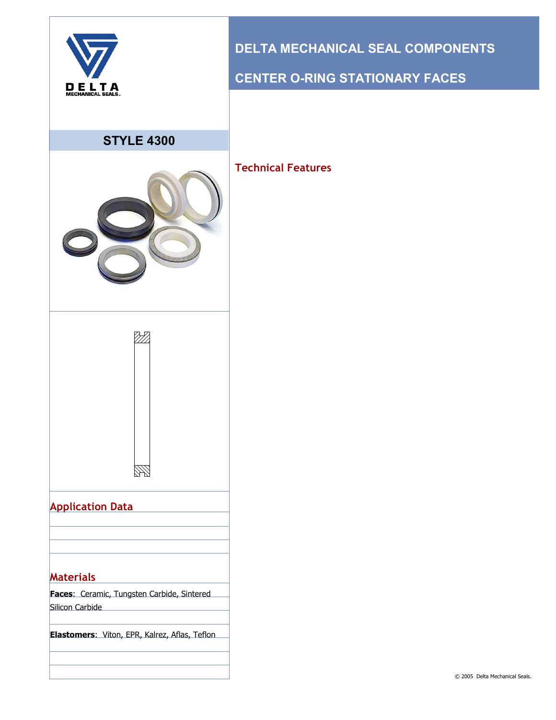

#### **STYLE 4300**



DI.

### **DELTA MECHANICAL SEAL COMPONENTS**

### **CENTER O-RING STATIONARY FACES**

**Technical Features**

#### **Application Data**

# **Materials**

**Faces**: Ceramic, Tungsten Carbide, Sintered Silicon Carbide

**Elastomers**: Viton, EPR, Kalrez, Aflas, Teflon